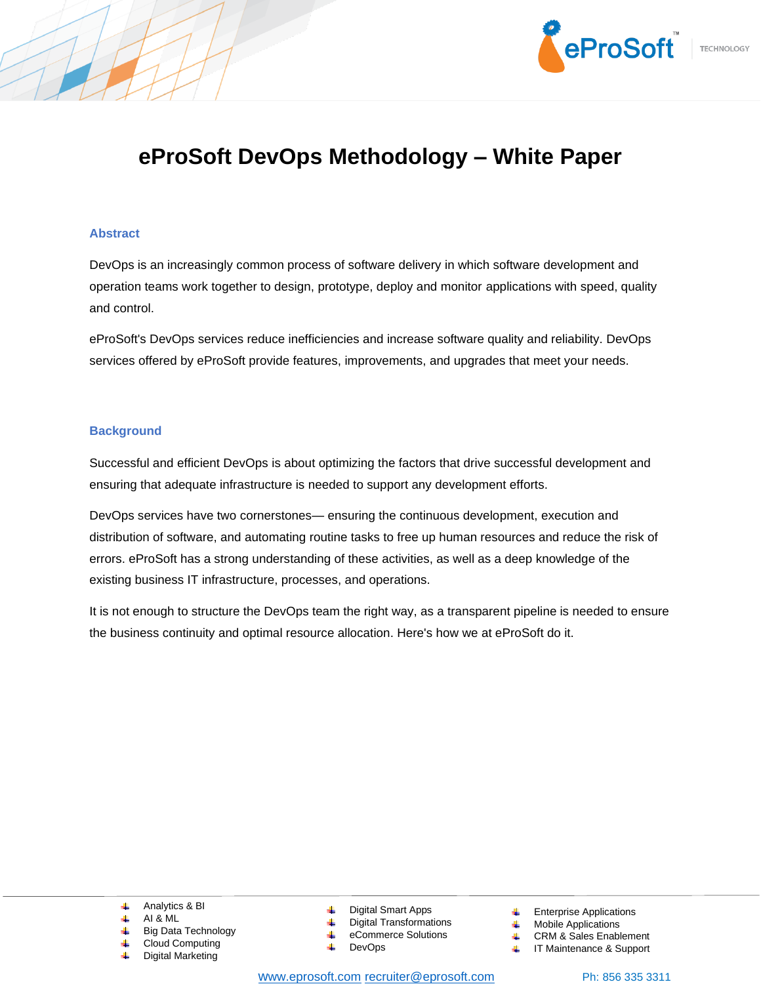

# **eProSoft DevOps Methodology – White Paper**

#### **Abstract**

DevOps is an increasingly common process of software delivery in which software development and operation teams work together to design, prototype, deploy and monitor applications with speed, quality and control.

eProSoft's DevOps services reduce inefficiencies and increase software quality and reliability. DevOps services offered by eProSoft provide features, improvements, and upgrades that meet your needs.

## **Background**

Successful and efficient DevOps is about optimizing the factors that drive successful development and ensuring that adequate infrastructure is needed to support any development efforts.

DevOps services have two cornerstones— ensuring the continuous development, execution and distribution of software, and automating routine tasks to free up human resources and reduce the risk of errors. eProSoft has a strong understanding of these activities, as well as a deep knowledge of the existing business IT infrastructure, processes, and operations.

It is not enough to structure the DevOps team the right way, as a transparent pipeline is needed to ensure the business continuity and optimal resource allocation. Here's how we at eProSoft do it.

- Analytics & BI
- AI & ML
- Big Data Technology
- Cloud Computing Digital Marketing
- Digital Smart Apps
- Digital Transformations
- eCommerce Solutions
- DevOps
- Enterprise Applications
- Mobile Applications
- CRM & Sales Enablement
- IT Maintenance & Support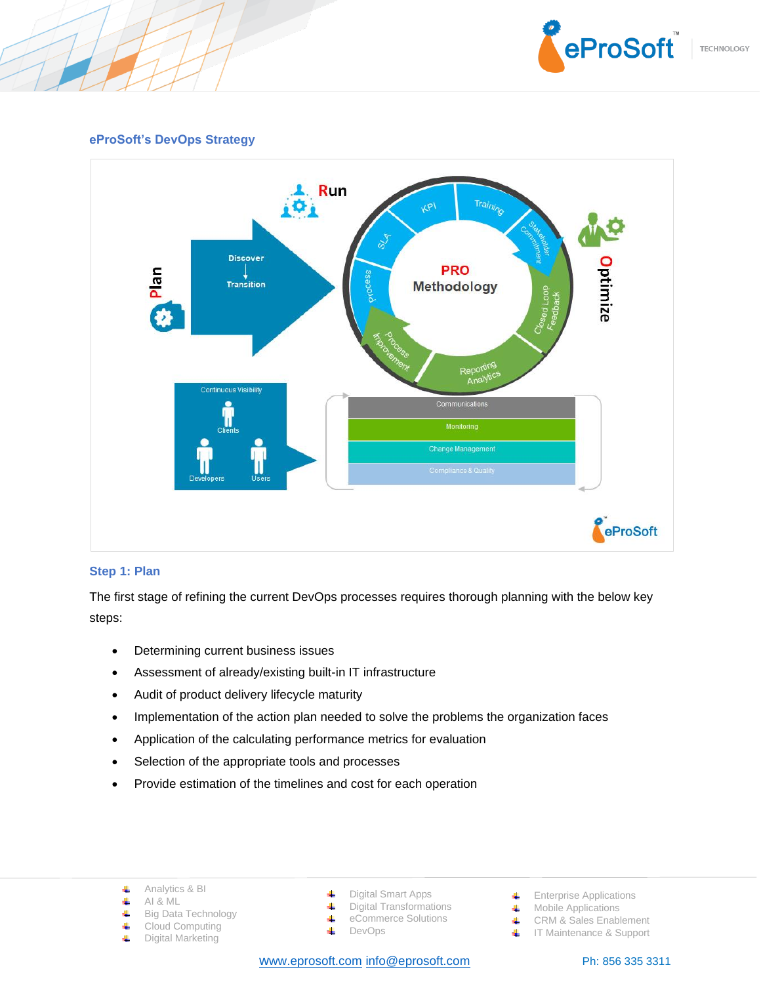

# **eProSoft's DevOps Strategy**



#### **Step 1: Plan**

The first stage of refining the current DevOps processes requires thorough planning with the below key steps:

- Determining current business issues
- Assessment of already/existing built-in IT infrastructure
- Audit of product delivery lifecycle maturity
- Implementation of the action plan needed to solve the problems the organization faces
- Application of the calculating performance metrics for evaluation
- Selection of the appropriate tools and processes
- Provide estimation of the timelines and cost for each operation
	- Analytics & BI 4
	- 4 AI & ML
	- 4 Big Data Technology
	- 4 Cloud Computing
	- 4 Digital Marketing
- Digital Smart Apps
- 4 Digital Transformations eCommerce Solutions 4
	- DevOps
- 4

w[ww.eprosoft.com](http://www.eprosoft.com/) [info@eprosoft.com](mailto:info@eprosoft.com) Ph: 856 335 3311

- **Enterprise Applications**
- Mobile Applications
- CRM & Sales Enablement
- **IF Maintenance & Support**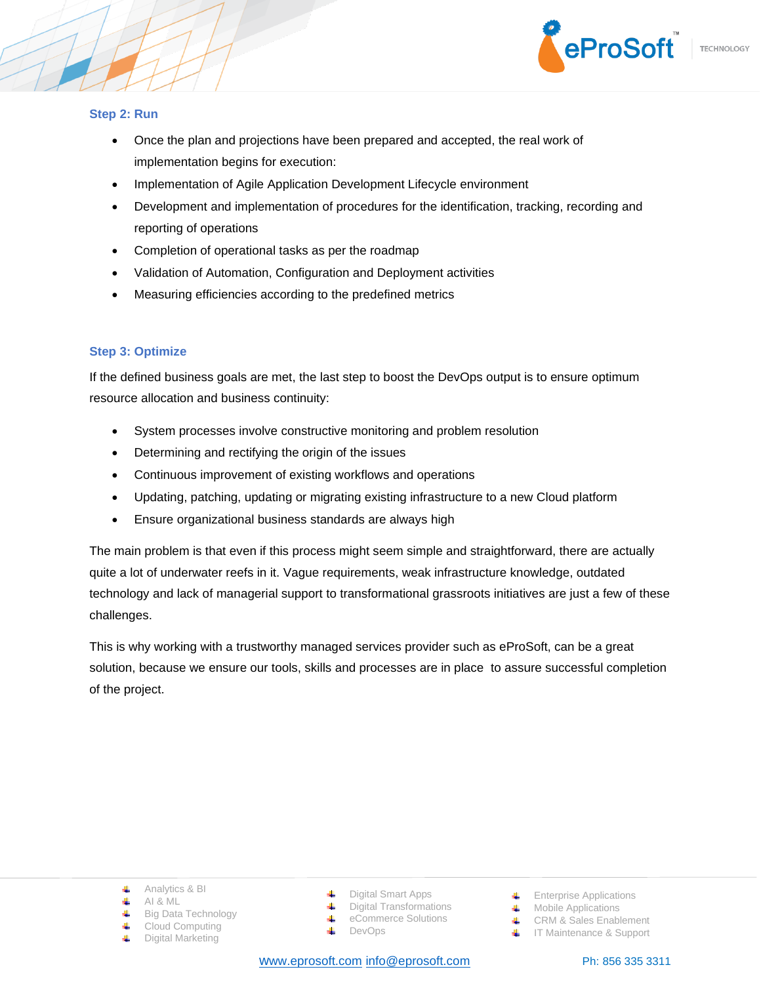

#### **Step 2: Run**

- Once the plan and projections have been prepared and accepted, the real work of implementation begins for execution:
- Implementation of Agile Application Development Lifecycle environment
- Development and implementation of procedures for the identification, tracking, recording and reporting of operations
- Completion of operational tasks as per the roadmap
- Validation of Automation, Configuration and Deployment activities
- Measuring efficiencies according to the predefined metrics

# **Step 3: Optimize**

If the defined business goals are met, the last step to boost the DevOps output is to ensure optimum resource allocation and business continuity:

- System processes involve constructive monitoring and problem resolution
- Determining and rectifying the origin of the issues
- Continuous improvement of existing workflows and operations
- Updating, patching, updating or migrating existing infrastructure to a new Cloud platform
- Ensure organizational business standards are always high

The main problem is that even if this process might seem simple and straightforward, there are actually quite a lot of underwater reefs in it. Vague requirements, weak infrastructure knowledge, outdated technology and lack of managerial support to transformational grassroots initiatives are just a few of these challenges.

This is why working with a trustworthy managed services provider such as eProSoft, can be a great solution, because we ensure our tools, skills and processes are in place to assure successful completion of the project.

- Analytics & BI
- 4 AI & ML
- Big Data Technology 4.
- Cloud Computing
- Digital Marketing
- Digital Smart Apps
- Digital Transformations
	- eCommerce Solutions
- 4 DevOps

w[ww.eprosoft.com](http://www.eprosoft.com/) [info@eprosoft.com](mailto:info@eprosoft.com) Ph: 856 335 3311

- **Enterprise Applications**
- **Wobile Applications**
- CRM & Sales Enablement
- **IF** IT Maintenance & Support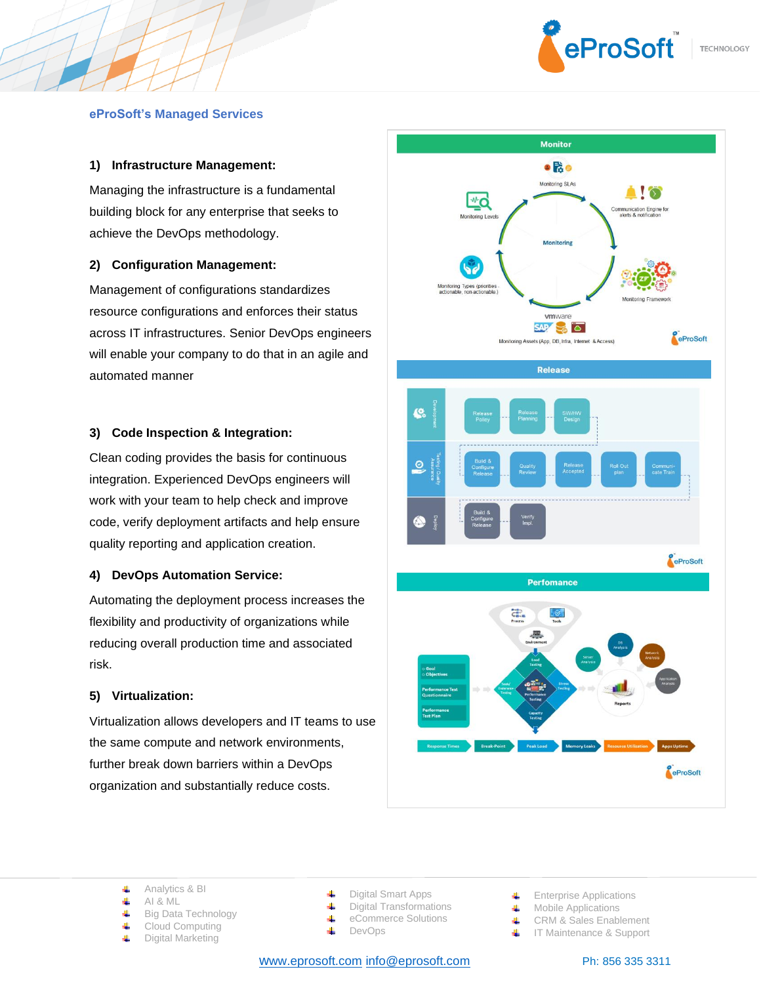

### **eProSoft's Managed Services**

## **1) Infrastructure Management:**

Managing the infrastructure is a fundamental building block for any enterprise that seeks to achieve the DevOps methodology.

## **2) Configuration Management:**

Management of configurations standardizes resource configurations and enforces their status across IT infrastructures. Senior DevOps engineers will enable your company to do that in an agile and automated manner

#### **3) Code Inspection & Integration:**

Clean coding provides the basis for continuous integration. Experienced DevOps engineers will work with your team to help check and improve code, verify deployment artifacts and help ensure quality reporting and application creation.

#### **4) DevOps Automation Service:**

Automating the deployment process increases the flexibility and productivity of organizations while reducing overall production time and associated risk.

# **5) Virtualization:**

Virtualization allows developers and IT teams to use the same compute and network environments, further break down barriers within a DevOps organization and substantially reduce costs.



- 4 AI & ML
- Big Data Technology 4
- 4 Cloud Computing
- Digital Marketing 4

Digital Smart Apps

- 4 Digital Transformations 4
	- eCommerce Solutions
- 4 DevOps

w[ww.eprosoft.com](http://www.eprosoft.com/) [info@eprosoft.com](mailto:info@eprosoft.com) Ph: 856 335 3311

- Enterprise Applications
- **Wobile Applications**
- ₩. CRM & Sales Enablement
- 4. IT Maintenance & Support

Analytics & BI